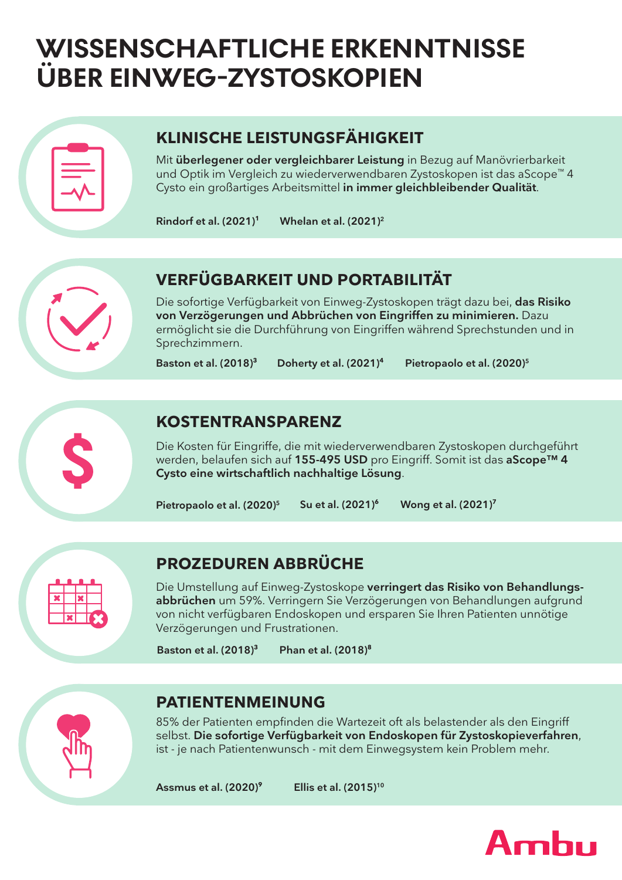# **WISSENSCHAFTLICHE ERKENNTNISSE ÜBER EINWEG-ZYSTOSKOPIEN**

## **KLINISCHE LEISTUNGSFÄHIGKEIT**

Mit **überlegener oder vergleichbarer Leistung** in Bezug auf Manövrierbarkeit und Optik im Vergleich zu wiederverwendbaren Zystoskopen ist das aScope™ 4 Cysto ein großartiges Arbeitsmittel **in immer gleichbleibender Qualität**.

**Whelan [et al. \(2021\)](http://ceju.online/journal/2020/stent-isiris-disposable-cystoscopy-urolithiasis-ureteroscopy-2056.php)2 [Rindorf et al. \(2021\)](https://www.ambu.com/Admin/Public/DWSDownload.aspx?File=%2fFiles%2fFiles%2fDownloads%2fAmbu+com%2fLanding-pages%2fEndoscopy%2fURO%2fWhite_paper_Cysto-Global-User-Evaluation_web.pdf)1**



## **VERFÜGBARKEIT UND PORTABILITÄT**

Die sofortige Verfügbarkeit von Einweg-Zystoskopen trägt dazu bei, **das Risiko von Verzögerungen und Abbrüchen von Eingriffen zu minimieren.** Dazu ermöglicht sie die Durchführung von Eingriffen während Sprechstunden und in Sprechzimmern.

**[Pietropaolo et al. \(2020\)5](http://ceju.online/journal/2020/stent-isiris-disposable-cystoscopy-urolithiasis-ureteroscopy-2056.php) [Baston et al. \(2018\)](http://ceju.online/journal/2018/kidney-stones-ureteral-stones-ureteral-stents-quality-improvement-1519.php)3 [Doherty et al. \(2021\)](https://journals.sagepub.com/doi/10.1177/15533506211007268?url_ver=Z39.88-2003&rfr_id=ori:rid:crossref.org&rfr_dat=cr_pub%20%200pubmed)4**



#### **KOSTENTRANSPARENZ**

Die Kosten für Eingriffe, die mit wiederverwendbaren Zystoskopen durchgeführt werden, belaufen sich auf **155-495 USD** pro Eingriff. Somit ist das **aScope™ 4 Cysto eine wirtschaftlich nachhaltige Lösung**.

**[Pietropaolo et al. \(2020\)](http://ceju.online/journal/2020/stent-isiris-disposable-cystoscopy-urolithiasis-ureteroscopy-2056.php)5 [Wong et al. \(2021\)](https://jeleu.com/index.php/JELEU/article/view/120/72)7 [Su et al. \(2021\)6](https://link.springer.com/article/10.1007/s00345-021-03724-3)**

|                | a a shekara |             |              |
|----------------|-------------|-------------|--------------|
|                |             |             |              |
| x <sub>1</sub> | b.          | $\mathbf x$ |              |
|                |             |             |              |
|                |             |             |              |
|                |             |             | <b>XIIIX</b> |

#### **PROZEDUREN ABBRÜCHE**

Die Umstellung auf Einweg-Zystoskope **verringert das Risiko von Behandlungsabbrüchen** um 59%. Verringern Sie Verzögerungen von Behandlungen aufgrund von nicht verfügbaren Endoskopen und ersparen Sie Ihren Patienten unnötige Verzögerungen und Frustrationen.

**[Baston et al. \(2018\)](http://ceju.online/journal/2018/kidney-stones-ureteral-stones-ureteral-stents-quality-improvement-1519.php)3 [Phan et al. \(2018\)8](https://jeleu.com/index.php/JELEU/article/view/5)**



#### **PATIENTENMEINUNG**

85% der Patienten empfinden die Wartezeit oft als belastender als den Eingriff selbst. **Die sofortige Verfügbarkeit von Endoskopen für Zystoskopieverfahren**, ist - je nach Patientenwunsch - mit dem Einwegsystem kein Problem mehr.

**[Assmus et al. \(2020\)](https://cuaj.ca/index.php/journal/article/view/6013)9 [Ellis et al. \(2015\)1](https://journals.sagepub.com/doi/10.1177/2051415814551821)0**